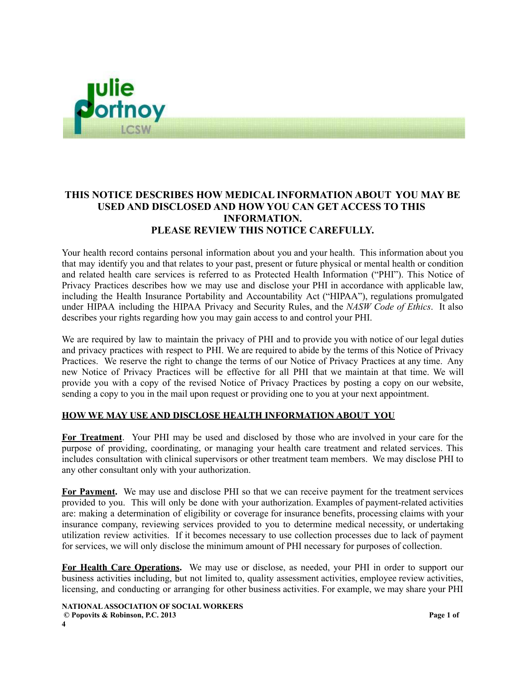

## **THIS NOTICE DESCRIBES HOW MEDICAL INFORMATION ABOUT YOU MAY BE USED AND DISCLOSED AND HOW YOU CAN GET ACCESS TO THIS INFORMATION. PLEASE REVIEW THIS NOTICE CAREFULLY.**

Your health record contains personal information about you and your health. This information about you that may identify you and that relates to your past, present or future physical or mental health or condition and related health care services is referred to as Protected Health Information ("PHI"). This Notice of Privacy Practices describes how we may use and disclose your PHI in accordance with applicable law, including the Health Insurance Portability and Accountability Act ("HIPAA"), regulations promulgated under HIPAA including the HIPAA Privacy and Security Rules, and the *NASW Code of Ethics*. It also describes your rights regarding how you may gain access to and control your PHI.

We are required by law to maintain the privacy of PHI and to provide you with notice of our legal duties and privacy practices with respect to PHI. We are required to abide by the terms of this Notice of Privacy Practices. We reserve the right to change the terms of our Notice of Privacy Practices at any time. Any new Notice of Privacy Practices will be effective for all PHI that we maintain at that time. We will provide you with a copy of the revised Notice of Privacy Practices by posting a copy on our website, sending a copy to you in the mail upon request or providing one to you at your next appointment.

## **HOW WE MAY USE AND DISCLOSE HEALTH INFORMATION ABOUT YOU**

**For Treatment**. Your PHI may be used and disclosed by those who are involved in your care for the purpose of providing, coordinating, or managing your health care treatment and related services. This includes consultation with clinical supervisors or other treatment team members. We may disclose PHI to any other consultant only with your authorization.

**For Payment.** We may use and disclose PHI so that we can receive payment for the treatment services provided to you. This will only be done with your authorization. Examples of payment-related activities are: making a determination of eligibility or coverage for insurance benefits, processing claims with your insurance company, reviewing services provided to you to determine medical necessity, or undertaking utilization review activities. If it becomes necessary to use collection processes due to lack of payment for services, we will only disclose the minimum amount of PHI necessary for purposes of collection.

**For Health Care Operations.** We may use or disclose, as needed, your PHI in order to support our business activities including, but not limited to, quality assessment activities, employee review activities, licensing, and conducting or arranging for other business activities. For example, we may share your PHI

**NATIONALASSOCIATION OF SOCIAL WORKERS © Popovits & Robinson, P.C. 2013 Page 1 of 4**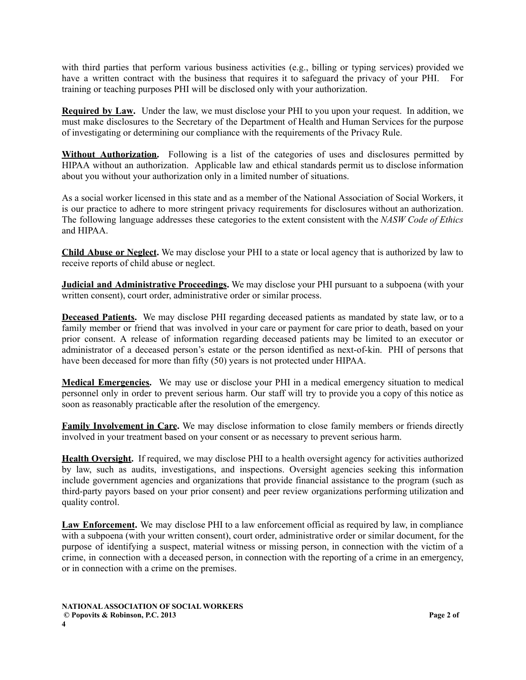with third parties that perform various business activities (e.g., billing or typing services) provided we have a written contract with the business that requires it to safeguard the privacy of your PHI. For training or teaching purposes PHI will be disclosed only with your authorization.

**Required by Law.** Under the law, we must disclose your PHI to you upon your request. In addition, we must make disclosures to the Secretary of the Department of Health and Human Services for the purpose of investigating or determining our compliance with the requirements of the Privacy Rule.

**Without Authorization.** Following is a list of the categories of uses and disclosures permitted by HIPAA without an authorization. Applicable law and ethical standards permit us to disclose information about you without your authorization only in a limited number of situations.

As a social worker licensed in this state and as a member of the National Association of Social Workers, it is our practice to adhere to more stringent privacy requirements for disclosures without an authorization. The following language addresses these categories to the extent consistent with the *NASW Code of Ethics* and HIPAA.

**Child Abuse or Neglect.** We may disclose your PHI to a state or local agency that is authorized by law to receive reports of child abuse or neglect.

**Judicial and Administrative Proceedings.** We may disclose your PHI pursuant to a subpoena (with your written consent), court order, administrative order or similar process.

**Deceased Patients.** We may disclose PHI regarding deceased patients as mandated by state law, or to a family member or friend that was involved in your care or payment for care prior to death, based on your prior consent. A release of information regarding deceased patients may be limited to an executor or administrator of a deceased person's estate or the person identified as next-of-kin. PHI of persons that have been deceased for more than fifty (50) years is not protected under HIPAA.

**Medical Emergencies.** We may use or disclose your PHI in a medical emergency situation to medical personnel only in order to prevent serious harm. Our staff will try to provide you a copy of this notice as soon as reasonably practicable after the resolution of the emergency.

**Family Involvement in Care.** We may disclose information to close family members or friends directly involved in your treatment based on your consent or as necessary to prevent serious harm.

**Health Oversight.** If required, we may disclose PHI to a health oversight agency for activities authorized by law, such as audits, investigations, and inspections. Oversight agencies seeking this information include government agencies and organizations that provide financial assistance to the program (such as third-party payors based on your prior consent) and peer review organizations performing utilization and quality control.

**Law Enforcement.** We may disclose PHI to a law enforcement official as required by law, in compliance with a subpoena (with your written consent), court order, administrative order or similar document, for the purpose of identifying a suspect, material witness or missing person, in connection with the victim of a crime, in connection with a deceased person, in connection with the reporting of a crime in an emergency, or in connection with a crime on the premises.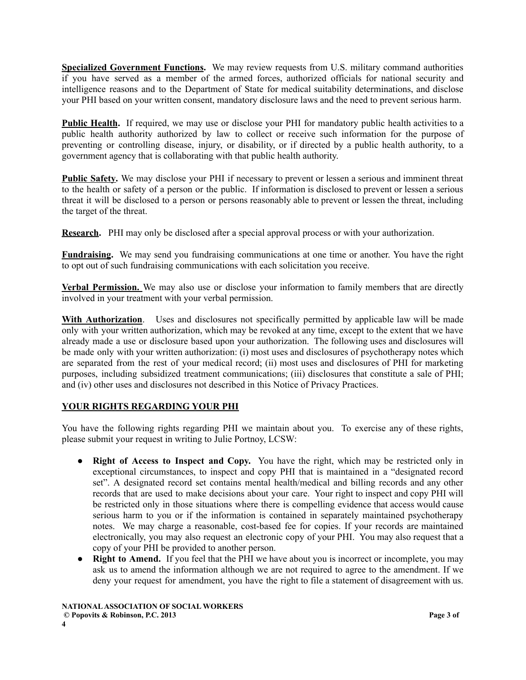**Specialized Government Functions.** We may review requests from U.S. military command authorities if you have served as a member of the armed forces, authorized officials for national security and intelligence reasons and to the Department of State for medical suitability determinations, and disclose your PHI based on your written consent, mandatory disclosure laws and the need to prevent serious harm.

**Public Health.** If required, we may use or disclose your PHI for mandatory public health activities to a public health authority authorized by law to collect or receive such information for the purpose of preventing or controlling disease, injury, or disability, or if directed by a public health authority, to a government agency that is collaborating with that public health authority.

**Public Safety.** We may disclose your PHI if necessary to prevent or lessen a serious and imminent threat to the health or safety of a person or the public. If information is disclosed to prevent or lessen a serious threat it will be disclosed to a person or persons reasonably able to prevent or lessen the threat, including the target of the threat.

**Research.** PHI may only be disclosed after a special approval process or with your authorization.

**Fundraising.** We may send you fundraising communications at one time or another. You have the right to opt out of such fundraising communications with each solicitation you receive.

**Verbal Permission.** We may also use or disclose your information to family members that are directly involved in your treatment with your verbal permission.

**With Authorization**. Uses and disclosures not specifically permitted by applicable law will be made only with your written authorization, which may be revoked at any time, except to the extent that we have already made a use or disclosure based upon your authorization. The following uses and disclosures will be made only with your written authorization: (i) most uses and disclosures of psychotherapy notes which are separated from the rest of your medical record; (ii) most uses and disclosures of PHI for marketing purposes, including subsidized treatment communications; (iii) disclosures that constitute a sale of PHI; and (iv) other uses and disclosures not described in this Notice of Privacy Practices.

## **YOUR RIGHTS REGARDING YOUR PHI**

You have the following rights regarding PHI we maintain about you. To exercise any of these rights, please submit your request in writing to Julie Portnoy, LCSW:

- **Right of Access to Inspect and Copy.** You have the right, which may be restricted only in exceptional circumstances, to inspect and copy PHI that is maintained in a "designated record set". A designated record set contains mental health/medical and billing records and any other records that are used to make decisions about your care. Your right to inspect and copy PHI will be restricted only in those situations where there is compelling evidence that access would cause serious harm to you or if the information is contained in separately maintained psychotherapy notes. We may charge a reasonable, cost-based fee for copies. If your records are maintained electronically, you may also request an electronic copy of your PHI. You may also request that a copy of your PHI be provided to another person.
- **Right to Amend.** If you feel that the PHI we have about you is incorrect or incomplete, you may ask us to amend the information although we are not required to agree to the amendment. If we deny your request for amendment, you have the right to file a statement of disagreement with us.